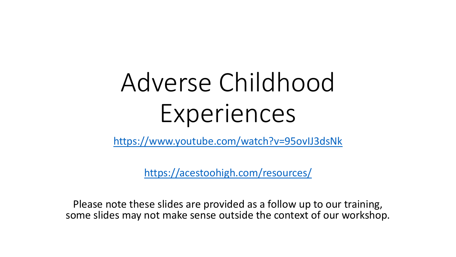# Adverse Childhood Experiences

<https://www.youtube.com/watch?v=95ovIJ3dsNk>

<https://acestoohigh.com/resources/>

Please note these slides are provided as a follow up to our training, some slides may not make sense outside the context of our workshop.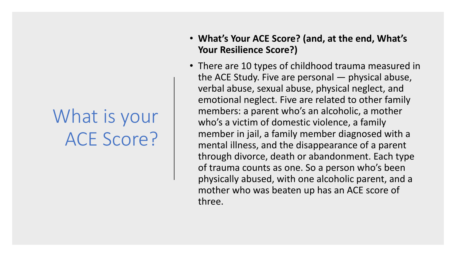#### What is your ACE Score?

- **What's Your ACE Score? (and, at the end, What's Your Resilience Score?)**
- There are 10 types of childhood trauma measured in the ACE Study. Five are personal — physical abuse, verbal abuse, sexual abuse, physical neglect, and emotional neglect. Five are related to other family members: a parent who's an alcoholic, a mother who's a victim of domestic violence, a family member in jail, a family member diagnosed with a mental illness, and the disappearance of a parent through divorce, death or abandonment. Each type of trauma counts as one. So a person who's been physically abused, with one alcoholic parent, and a mother who was beaten up has an ACE score of three.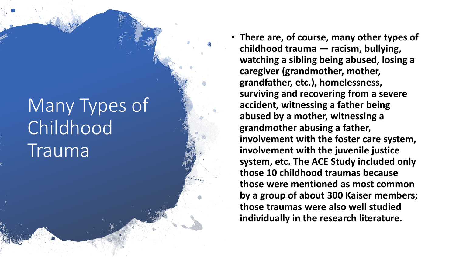## Many Types of Childhood Trauma

• **There are, of course, many other types of childhood trauma — racism, bullying, watching a sibling being abused, losing a caregiver (grandmother, mother, grandfather, etc.), homelessness, surviving and recovering from a severe accident, witnessing a father being abused by a mother, witnessing a grandmother abusing a father, involvement with the foster care system, involvement with the juvenile justice system, etc. The ACE Study included only those 10 childhood traumas because those were mentioned as most common by a group of about 300 Kaiser members; those traumas were also well studied individually in the research literature.**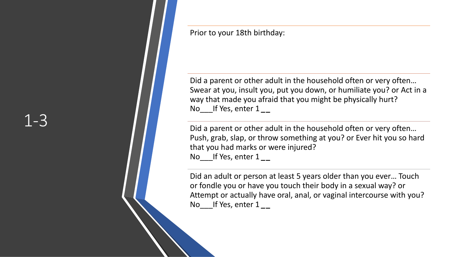Prior to your 18th birthday:

Did a parent or other adult in the household often or very often… Swear at you, insult you, put you down, or humiliate you? or Act in a way that made you afraid that you might be physically hurt? No\_\_\_If Yes, enter 1 *\_***\_**

Did a parent or other adult in the household often or very often… Push, grab, slap, or throw something at you? or Ever hit you so hard that you had marks or were injured? No\_\_\_If Yes, enter 1 *\_***\_**

Did an adult or person at least 5 years older than you ever… Touch or fondle you or have you touch their body in a sexual way? or Attempt or actually have oral, anal, or vaginal intercourse with you? No\_\_\_If Yes, enter 1 *\_***\_**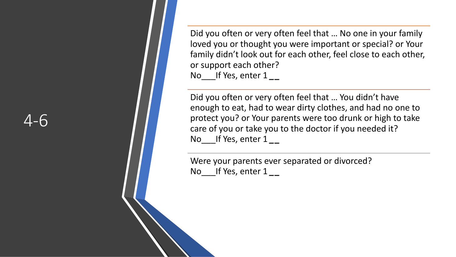Did you often or very often feel that … No one in your family loved you or thought you were important or special? or Your family didn't look out for each other, feel close to each other, or support each other? No\_\_\_If Yes, enter 1 *\_* **\_**

Did you often or very often feel that … You didn't have enough to eat, had to wear dirty clothes, and had no one to protect you? or Your parents were too drunk or high to take care of you or take you to the doctor if you needed it? No\_\_\_If Yes, enter 1 *\_* **\_**

Were your parents ever separated or divorced? No\_\_\_If Yes, enter 1 *\_* **\_**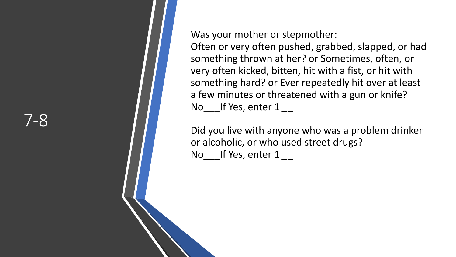Was your mother or stepmother:

Often or very often pushed, grabbed, slapped, or had something thrown at her? or Sometimes, often, or very often kicked, bitten, hit with a fist, or hit with something hard? or Ever repeatedly hit over at least a few minutes or threatened with a gun or knife? No\_\_\_If Yes, enter 1 *\_* **\_**

Did you live with anyone who was a problem drinker or alcoholic, or who used street drugs? No\_\_\_If Yes, enter 1 *\_* **\_**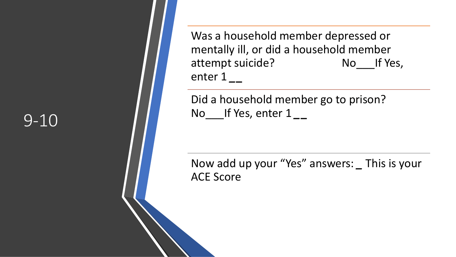Was a household member depressed or mentally ill, or did a household member attempt suicide? No If Yes, enter 1 *\_***\_**

Did a household member go to prison? No\_\_\_If Yes, enter 1 *\_***\_**

Now add up your "Yes" answers: *\_* This is your ACE Score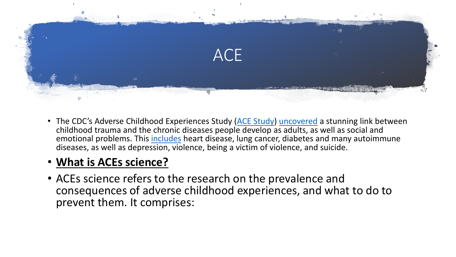

• The CDC's Adverse Childhood Experiences Study ([ACE Study](http://www.cdc.gov/ace/index.htm)) [uncovered](http://www.cdc.gov/ace/findings.htm) a stunning link between childhood trauma and the chronic diseases people develop as adults, as well as social and emotional problems. This *[includes](http://www.newyorker.com/reporting/2011/03/21/110321fa_fact_tough)* heart disease, lung cancer, diabetes and many autoimmune diseases, as well as depression, violence, being a victim of violence, and suicide.

#### • **What is ACEs science?**

• ACEs science refers to the research on the prevalence and consequences of adverse childhood experiences, and what to do to prevent them. It comprises: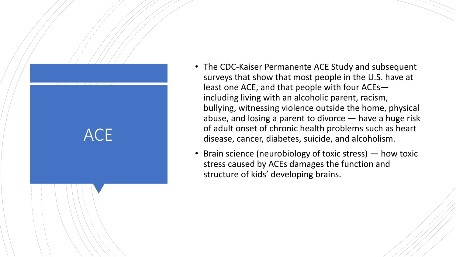# **ACE**

- The CDC -Kaiser Permanente ACE Study and subsequent surveys that show that most people in the U.S. have at least one ACE, and that people with four ACEs including living with an alcoholic parent, racism, bullying, witnessing violence outside the home, physical abuse, and losing a parent to divorce — have a huge risk of adult onset of chronic health problems such as heart disease, cancer, diabetes, suicide, and alcoholism.
- Brain science (neurobiology of toxic stress) how toxic stress caused by ACEs damages the function and structure of kids' developing brains.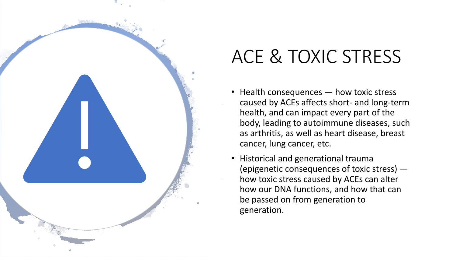

#### ACE & TOXIC STRESS

- Health consequences how toxic stress caused by ACEs affects short- and long-term health, and can impact every part of the body, leading to autoimmune diseases, such as arthritis, as well as heart disease, breast cancer, lung cancer, etc.
- Historical and generational trauma (epigenetic consequences of toxic stress) how toxic stress caused by ACEs can alter how our DNA functions, and how that can be passed on from generation to generation.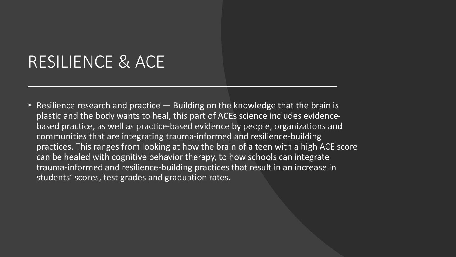#### RESILIENCE & ACE

• Resilience research and practice — Building on the knowledge that the brain is plastic and the body wants to heal, this part of ACEs science includes evidencebased practice, as well as practice-based evidence by people, organizations and communities that are integrating trauma-informed and resilience-building practices. This ranges from looking at how the brain of a teen with a high ACE score can be healed with cognitive behavior therapy, to how schools can integrate trauma-informed and resilience-building practices that result in an increase in students' scores, test grades and graduation rates.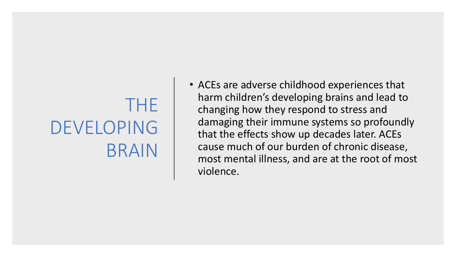## THE DEVELOPING BRAIN

• ACEs are adverse childhood experiences that harm children's developing brains and lead to changing how they respond to stress and damaging their immune systems so profoundly that the effects show up decades later. ACEs cause much of our burden of chronic disease, most mental illness, and are at the root of most violence.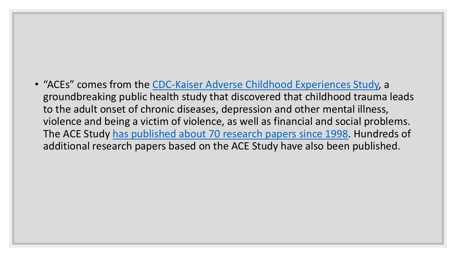• "ACEs" comes from the [CDC-Kaiser Adverse Childhood Experiences Study,](http://www.cdc.gov/violenceprevention/acestudy/) a groundbreaking public health study that discovered that childhood trauma leads to the adult onset of chronic diseases, depression and other mental illness, violence and being a victim of violence, as well as financial and social problems. The ACE Study [has published about 70 research papers since 1998](http://www.cdc.gov/violenceprevention/acestudy/publications.html). Hundreds of additional research papers based on the ACE Study have also been published.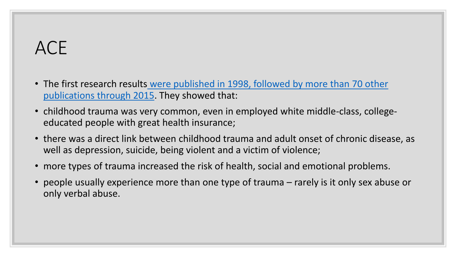#### ACE

- The first research results [were published in 1998, followed by more than 70 other](https://acestoohigh.com/research/)  publications through 2015. They showed that:
- childhood trauma was very common, even in employed white middle-class, collegeeducated people with great health insurance;
- there was a direct link between childhood trauma and adult onset of chronic disease, as well as depression, suicide, being violent and a victim of violence;
- more types of trauma increased the risk of health, social and emotional problems.
- people usually experience more than one type of trauma rarely is it only sex abuse or only verbal abuse.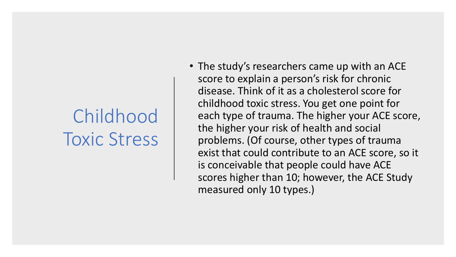## Childhood Toxic Stress

• The study's researchers came up with an ACE score to explain a person's risk for chronic disease. Think of it as a cholesterol score for childhood toxic stress. You get one point for each type of trauma. The higher your ACE score, the higher your risk of health and social problems. (Of course, other types of trauma exist that could contribute to an ACE score, so it is conceivable that people could have ACE scores higher than 10; however, the ACE Study measured only 10 types.)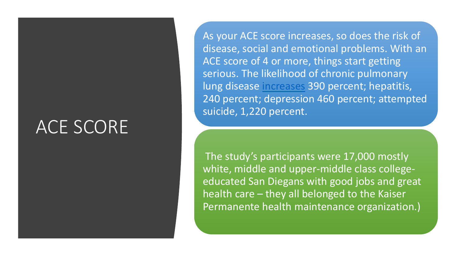#### ACE SCORE

As your ACE score increases, so does the risk of disease, social and emotional problems. With an ACE score of 4 or more, things start getting serious. The likelihood of chronic pulmonary lung disease [increases](https://acestoohigh.com/category/ace-study/) 390 percent; hepatitis, 240 percent; depression 460 percent; attempted suicide, 1,220 percent.

The study's participants were 17,000 mostly white, middle and upper-middle class collegeeducated San Diegans with good jobs and great health care – they all belonged to the Kaiser Permanente health maintenance organization.)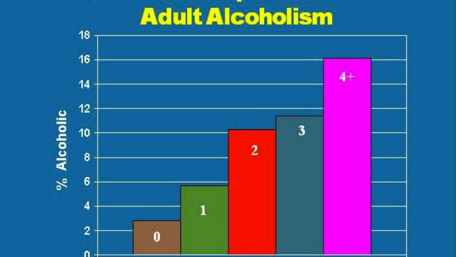## **Adult Alcoholism**

**STATE** 

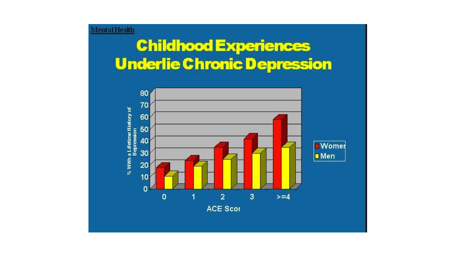#### **Childhood Experiences Underlie Chronic Depression**

MentalHealth

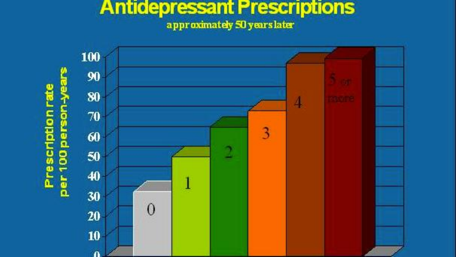#### **Antidepressant Prescriptions** approximately 50 years later

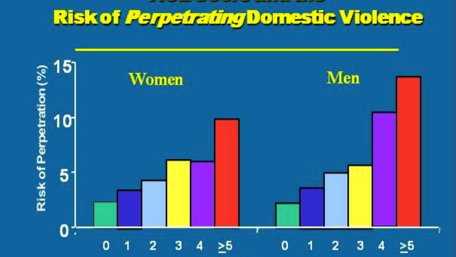# Risk of *Perpetrating* Domestic Violence

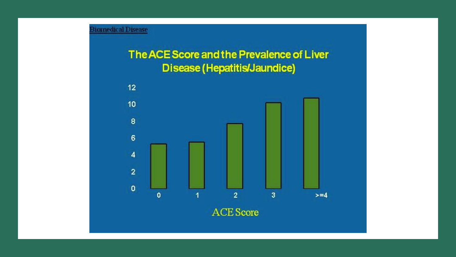#### The ACE Score and the Prevalence of Liver **Disease (Hepatitis/Jaundice)**

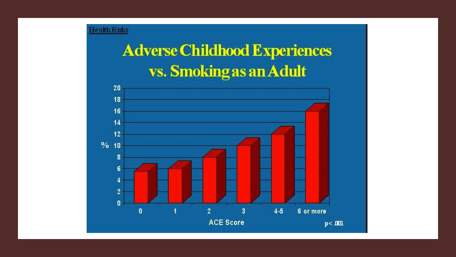## **Adverse Childhood Experiences** vs. Smoking as an Adult

**Health Risks** 

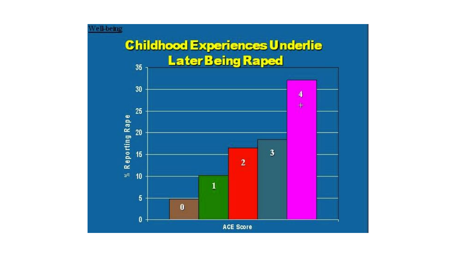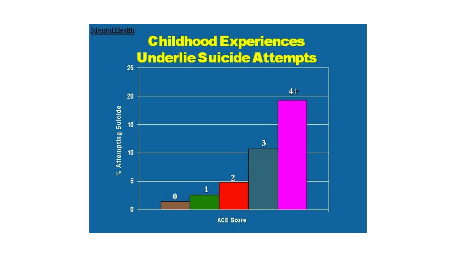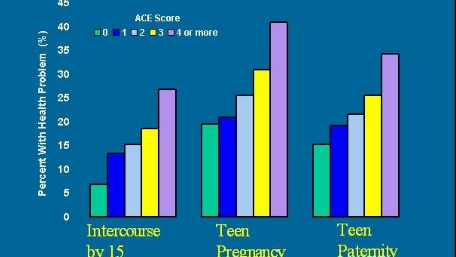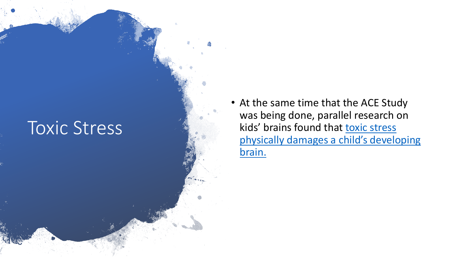

• At the same time that the ACE Study was being done, parallel research on kids' brains found that toxic stress [physically damages a child's developing](http://developingchild.harvard.edu/) brain.